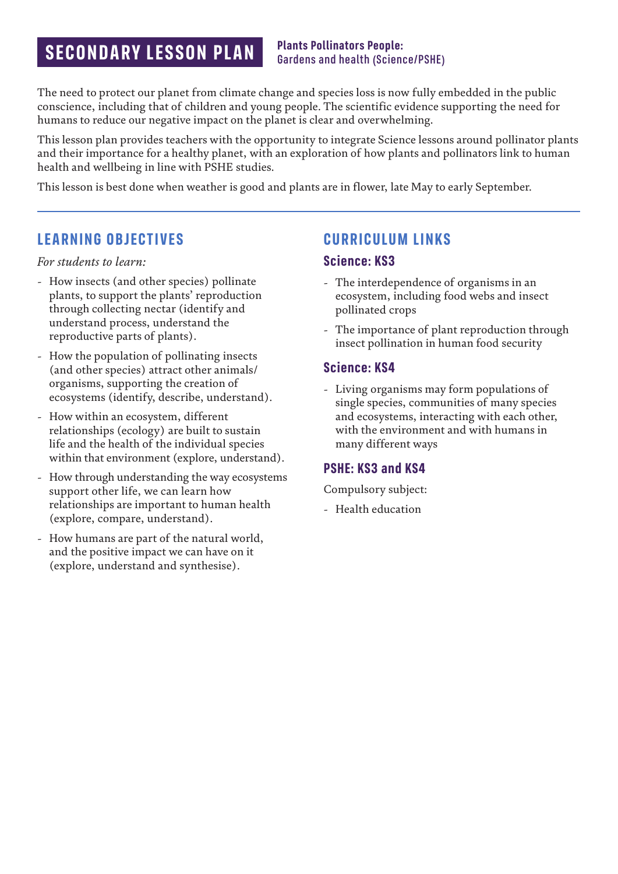# **SECONDARY LESSON PLAN Plants Pollinators People: SECONDARY LESSON PLAN** *Bardens and health (Scien)*

# Gardens and health (Science/PSHE)

The need to protect our planet from climate change and species loss is now fully embedded in the public conscience, including that of children and young people. The scientific evidence supporting the need for humans to reduce our negative impact on the planet is clear and overwhelming.

This lesson plan provides teachers with the opportunity to integrate Science lessons around pollinator plants and their importance for a healthy planet, with an exploration of how plants and pollinators link to human health and wellbeing in line with PSHE studies.

This lesson is best done when weather is good and plants are in flower, late May to early September.

## **LEARNING OBJECTIVES**

*For students to learn:*

- How insects (and other species) pollinate plants, to support the plants' reproduction through collecting nectar (identify and understand process, understand the reproductive parts of plants).
- How the population of pollinating insects (and other species) attract other animals/ organisms, supporting the creation of ecosystems (identify, describe, understand).
- How within an ecosystem, different relationships (ecology) are built to sustain life and the health of the individual species within that environment (explore, understand).
- How through understanding the way ecosystems support other life, we can learn how relationships are important to human health (explore, compare, understand).
- How humans are part of the natural world, and the positive impact we can have on it (explore, understand and synthesise).

### **CURRICULUM LINKS**

#### **Science: KS3**

- The interdependence of organisms in an ecosystem, including food webs and insect pollinated crops
- The importance of plant reproduction through insect pollination in human food security

#### **Science: KS4**

- Living organisms may form populations of single species, communities of many species and ecosystems, interacting with each other, with the environment and with humans in many different ways

#### **PSHE: KS3 and KS4**

Compulsory subject:

- Health education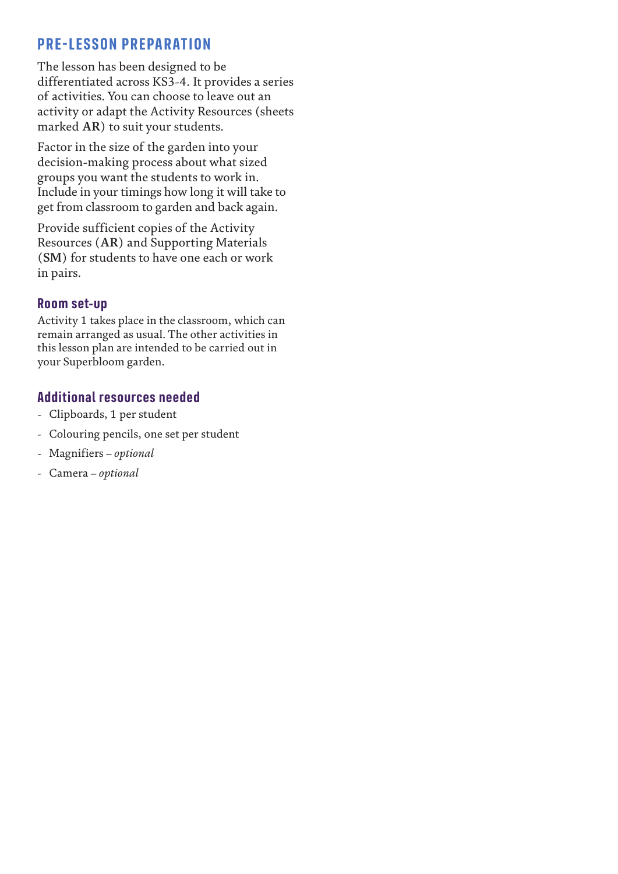## **PRE-LESSON PREPARATION**

The lesson has been designed to be differentiated across KS3-4. It provides a series of activities. You can choose to leave out an activity or adapt the Activity Resources (sheets marked **AR**) to suit your students.

Factor in the size of the garden into your decision-making process about what sized groups you want the students to work in. Include in your timings how long it will take to get from classroom to garden and back again.

Provide sufficient copies of the Activity Resources (**AR**) and Supporting Materials (**SM**) for students to have one each or work in pairs.

#### **Room set-up**

Activity 1 takes place in the classroom, which can remain arranged as usual. The other activities in this lesson plan are intended to be carried out in your Superbloom garden.

#### **Additional resources needed**

- Clipboards, 1 per student
- Colouring pencils, one set per student
- Magnifiers *optional*
- Camera *optional*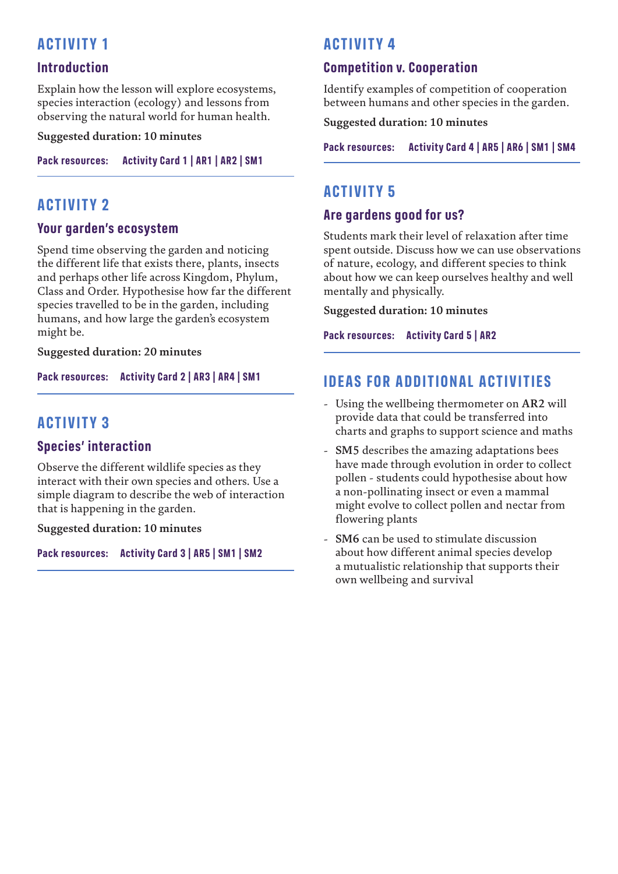## **ACTIVITY 1**

#### **Introduction**

Explain how the lesson will explore ecosystems, species interaction (ecology) and lessons from observing the natural world for human health.

**Suggested duration: 10 minutes**

**Pack resources: Activity Card 1 | AR1 | AR2 | SM1**

### **ACTIVITY 2**

#### **Your garden's ecosystem**

Spend time observing the garden and noticing the different life that exists there, plants, insects and perhaps other life across Kingdom, Phylum, Class and Order. Hypothesise how far the different species travelled to be in the garden, including humans, and how large the garden's ecosystem might be.

**Suggested duration: 20 minutes**

**Pack resources: Activity Card 2 | AR3 | AR4 | SM1**

## **ACTIVITY 3**

#### **Species' interaction**

Observe the different wildlife species as they interact with their own species and others. Use a simple diagram to describe the web of interaction that is happening in the garden.

**Suggested duration: 10 minutes**

**Pack resources: Activity Card 3 | AR5 | SM1 | SM2**

## **ACTIVITY 4**

#### **Competition v. Cooperation**

Identify examples of competition of cooperation between humans and other species in the garden.

**Suggested duration: 10 minutes**

**Pack resources: Activity Card 4 | AR5 | AR6 | SM1 | SM4**

### **ACTIVITY 5**

#### **Are gardens good for us?**

Students mark their level of relaxation after time spent outside. Discuss how we can use observations of nature, ecology, and different species to think about how we can keep ourselves healthy and well mentally and physically.

**Suggested duration: 10 minutes**

**Pack resources: Activity Card 5 | AR2**

### **IDEAS FOR ADDITIONAL ACTIVITIES**

- Using the wellbeing thermometer on **AR2** will provide data that could be transferred into charts and graphs to support science and maths
- **SM5** describes the amazing adaptations bees have made through evolution in order to collect pollen - students could hypothesise about how a non-pollinating insect or even a mammal might evolve to collect pollen and nectar from flowering plants
- **SM6** can be used to stimulate discussion about how different animal species develop a mutualistic relationship that supports their own wellbeing and survival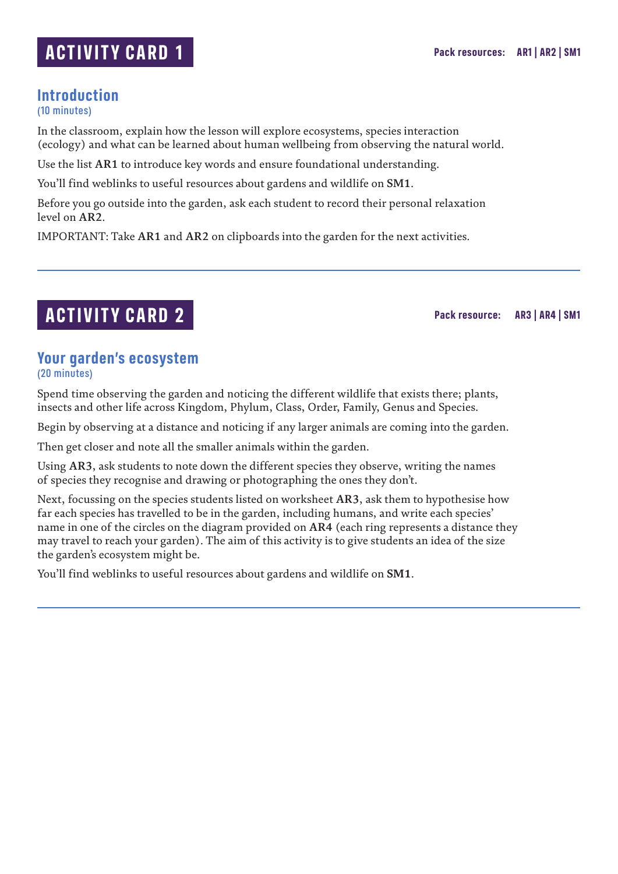# **ACTIVITY CARD 1**

# **Introduction**

(10 minutes)

In the classroom, explain how the lesson will explore ecosystems, species interaction (ecology) and what can be learned about human wellbeing from observing the natural world.

Use the list **AR1** to introduce key words and ensure foundational understanding.

You'll find weblinks to useful resources about gardens and wildlife on **SM1**.

Before you go outside into the garden, ask each student to record their personal relaxation level on **AR2**.

IMPORTANT: Take **AR1** and **AR2** on clipboards into the garden for the next activities.

# **ACTIVITY CARD 2**

**Pack resource: AR3 | AR4 | SM1**

#### **Your garden's ecosystem** (20 minutes)

Spend time observing the garden and noticing the different wildlife that exists there; plants, insects and other life across Kingdom, Phylum, Class, Order, Family, Genus and Species.

Begin by observing at a distance and noticing if any larger animals are coming into the garden.

Then get closer and note all the smaller animals within the garden.

Using **AR3**, ask students to note down the different species they observe, writing the names of species they recognise and drawing or photographing the ones they don't.

Next, focussing on the species students listed on worksheet **AR3**, ask them to hypothesise how far each species has travelled to be in the garden, including humans, and write each species' name in one of the circles on the diagram provided on **AR4** (each ring represents a distance they may travel to reach your garden). The aim of this activity is to give students an idea of the size the garden's ecosystem might be.

You'll find weblinks to useful resources about gardens and wildlife on **SM1**.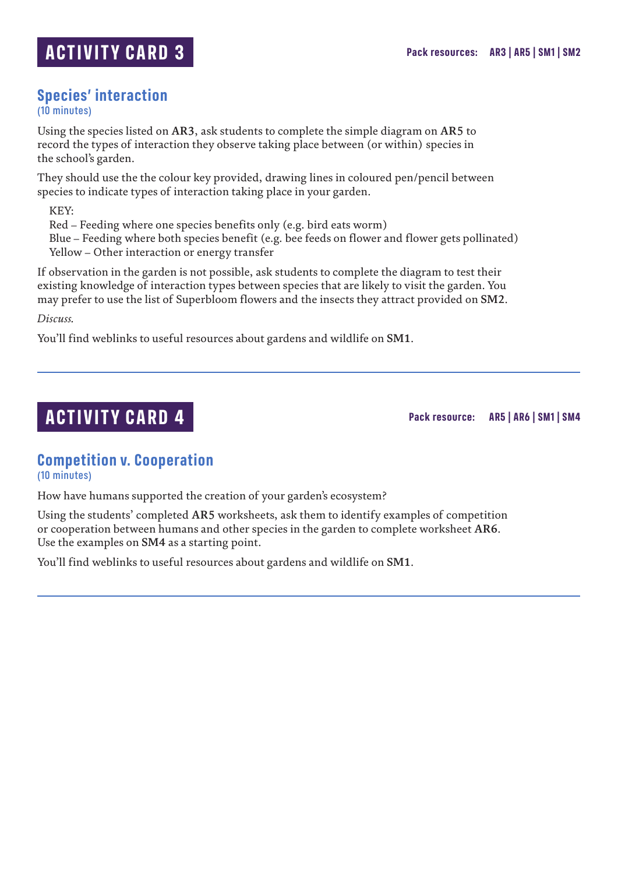#### **Species' interaction** (10 minutes)

Using the species listed on **AR3**, ask students to complete the simple diagram on **AR5** to record the types of interaction they observe taking place between (or within) species in the school's garden.

They should use the the colour key provided, drawing lines in coloured pen/pencil between species to indicate types of interaction taking place in your garden.

KEY:

Red – Feeding where one species benefits only (e.g. bird eats worm)

Blue – Feeding where both species benefit (e.g. bee feeds on flower and flower gets pollinated) Yellow – Other interaction or energy transfer

If observation in the garden is not possible, ask students to complete the diagram to test their existing knowledge of interaction types between species that are likely to visit the garden. You may prefer to use the list of Superbloom flowers and the insects they attract provided on **SM2**.

*Discuss.*

You'll find weblinks to useful resources about gardens and wildlife on **SM1**.

## **ACTIVITY CARD 4**

**Pack resource: AR5 | AR6 | SM1 | SM4**

### **Competition v. Cooperation**

(10 minutes)

How have humans supported the creation of your garden's ecosystem?

Using the students' completed **AR5** worksheets, ask them to identify examples of competition or cooperation between humans and other species in the garden to complete worksheet **AR6**. Use the examples on **SM4** as a starting point.

You'll find weblinks to useful resources about gardens and wildlife on **SM1**.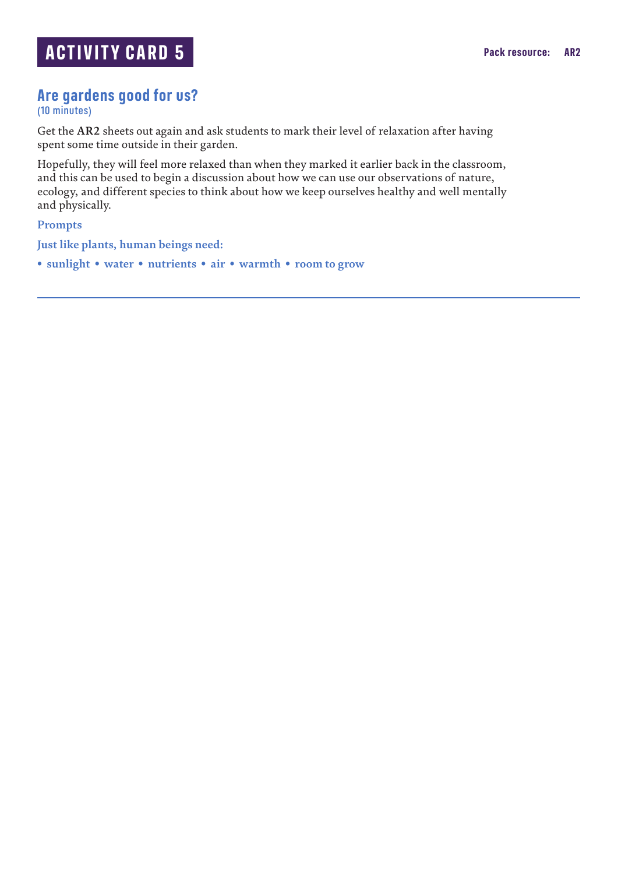## **Are gardens good for us?**

(10 minutes)

Get the **AR2** sheets out again and ask students to mark their level of relaxation after having spent some time outside in their garden.

Hopefully, they will feel more relaxed than when they marked it earlier back in the classroom, and this can be used to begin a discussion about how we can use our observations of nature, ecology, and different species to think about how we keep ourselves healthy and well mentally and physically.

**Prompts**

**Just like plants, human beings need:**

**• sunlight • water • nutrients • air • warmth • room to grow**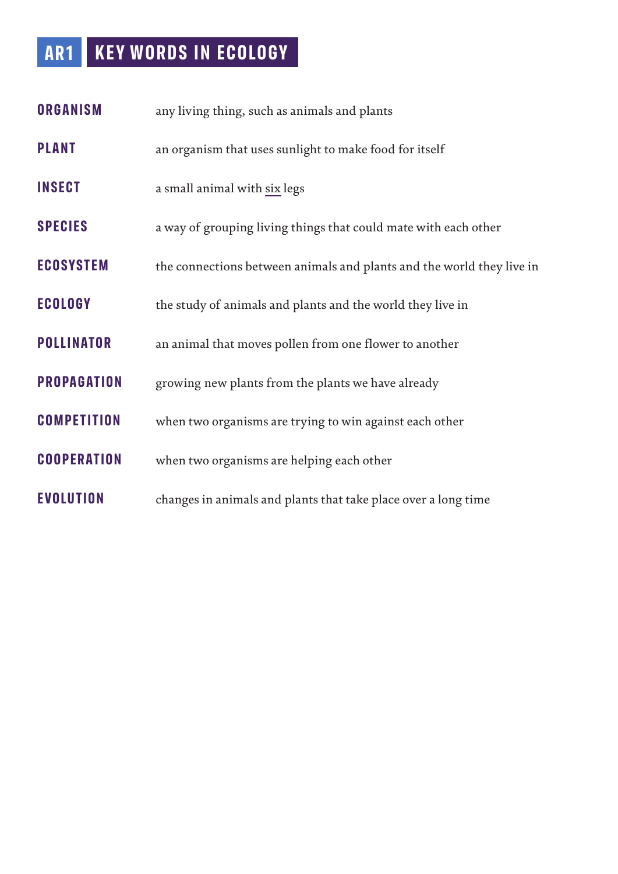# **AR1 KEY WORDS IN ECOLOGY**

| <b>ORGANISM</b>    | any living thing, such as animals and plants                          |  |  |
|--------------------|-----------------------------------------------------------------------|--|--|
| <b>PLANT</b>       | an organism that uses sunlight to make food for itself                |  |  |
| <b>INSECT</b>      | a small animal with six legs                                          |  |  |
| <b>SPECIES</b>     | a way of grouping living things that could mate with each other       |  |  |
| <b>ECOSYSTEM</b>   | the connections between animals and plants and the world they live in |  |  |
| <b>ECOLOGY</b>     | the study of animals and plants and the world they live in            |  |  |
| <b>POLLINATOR</b>  | an animal that moves pollen from one flower to another                |  |  |
| <b>PROPAGATION</b> | growing new plants from the plants we have already                    |  |  |
| <b>COMPETITION</b> | when two organisms are trying to win against each other               |  |  |
| <b>COOPERATION</b> | when two organisms are helping each other                             |  |  |
| <b>EVOLUTION</b>   | changes in animals and plants that take place over a long time        |  |  |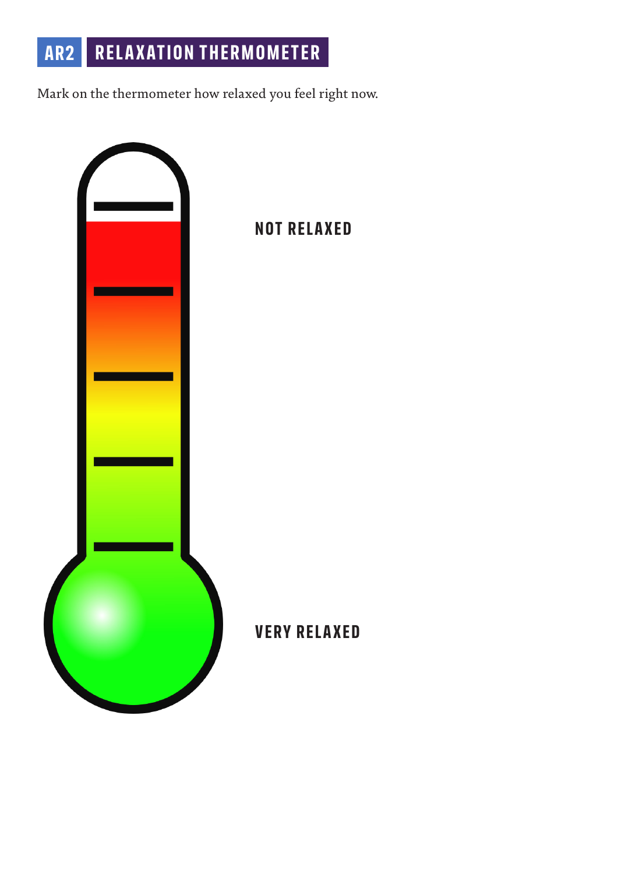# **AR2 RELAXATION THERMOMETER**

Mark on the thermometer how relaxed you feel right now.

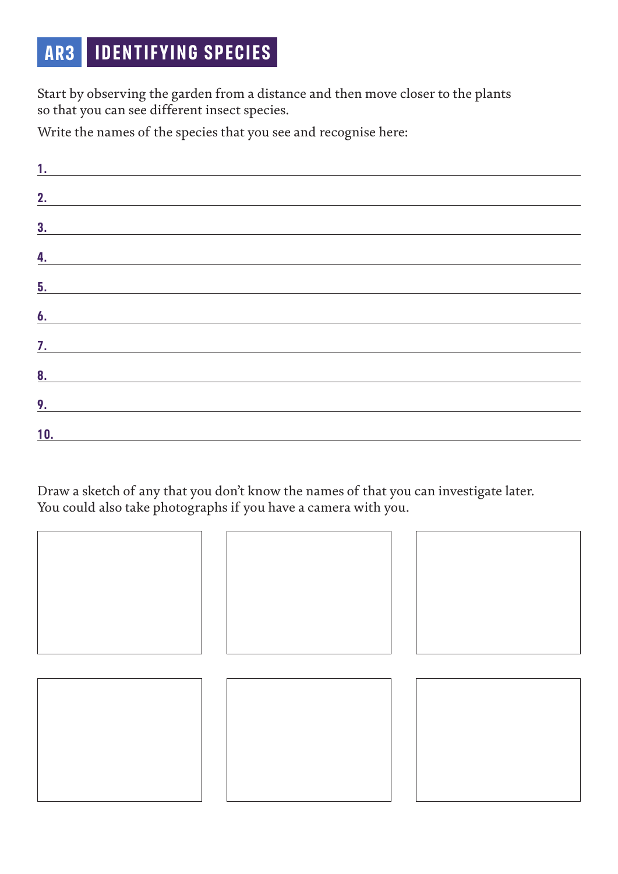# **AR3 IDENTIFYING SPECIES**

Start by observing the garden from a distance and then move closer to the plants so that you can see different insect species.

Write the names of the species that you see and recognise here:

| 1.               |                                                           |  |  |
|------------------|-----------------------------------------------------------|--|--|
| 2.               |                                                           |  |  |
| 3 <sub>1</sub>   |                                                           |  |  |
| $\overline{4}$ . | <u> 1989 - John Stein, Amerikaansk politiker (* 1989)</u> |  |  |
| 5.               |                                                           |  |  |
| 6.               |                                                           |  |  |
| $\overline{?}.$  |                                                           |  |  |
| 8 <sub>1</sub>   |                                                           |  |  |
| 9.               |                                                           |  |  |
| 10.              |                                                           |  |  |

Draw a sketch of any that you don't know the names of that you can investigate later. You could also take photographs if you have a camera with you.

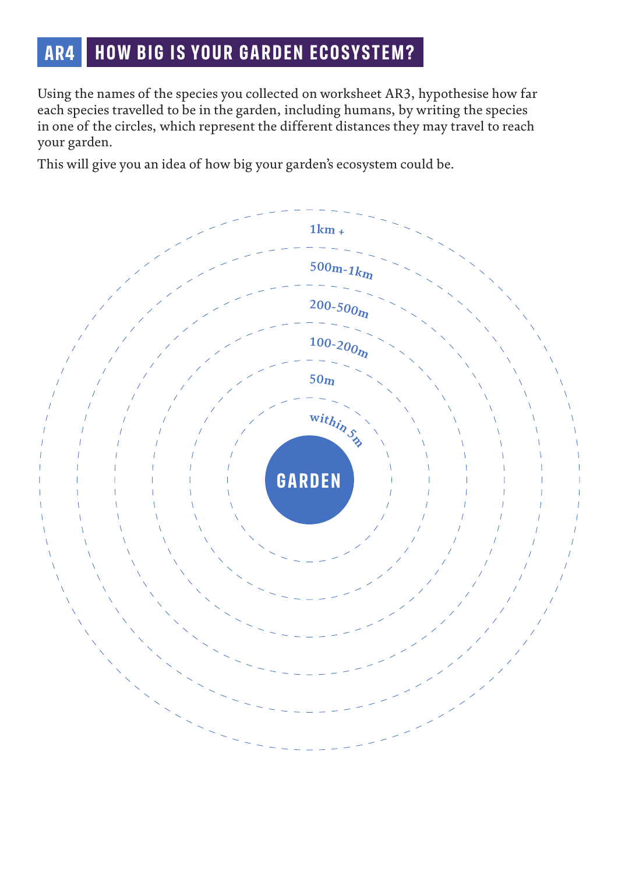# **AR4 HOW BIG IS YOUR GARDEN ECOSYSTEM?**

Using the names of the species you collected on worksheet AR3, hypothesise how far each species travelled to be in the garden, including humans, by writing the species in one of the circles, which represent the different distances they may travel to reach your garden.

This will give you an idea of how big your garden's ecosystem could be.

![](_page_9_Figure_3.jpeg)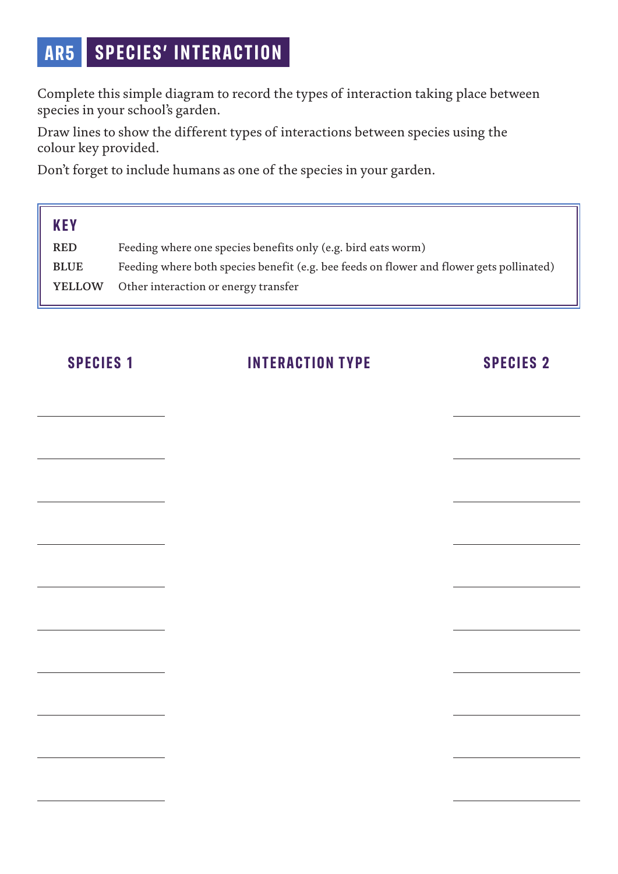# **AR5 SPECIES' INTERACTION**

Complete this simple diagram to record the types of interaction taking place between species in your school's garden.

Draw lines to show the different types of interactions between species using the colour key provided.

Don't forget to include humans as one of the species in your garden.

| <b>KEY</b>    |                                                                                          |
|---------------|------------------------------------------------------------------------------------------|
| <b>RED</b>    | Feeding where one species benefits only (e.g. bird eats worm)                            |
| <b>BLUE</b>   | Feeding where both species benefit (e.g. bee feeds on flower and flower gets pollinated) |
| <b>YELLOW</b> | Other interaction or energy transfer                                                     |

# **SPECIES 1 INTERACTION TYPE SPECIES 2**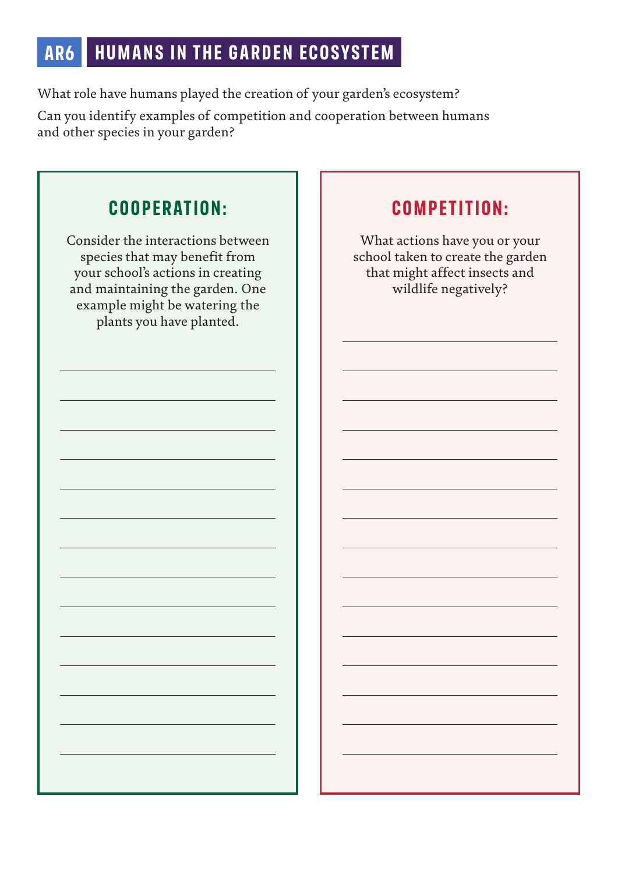# **AR6 HUMANS IN THE GARDEN ECOSYSTEM**

What role have humans played the creation of your garden's ecosystem?

Can you identify examples of competition and cooperation between humans and other species in your garden?

# **COOPERATION:**

Consider the interactions between species that may benefit from your school's actions in creating and maintaining the garden. One example might be watering the plants you have planted.

# **COMPETITION:**

What actions have you or your school taken to create the garden that might affect insects and wildlife negatively?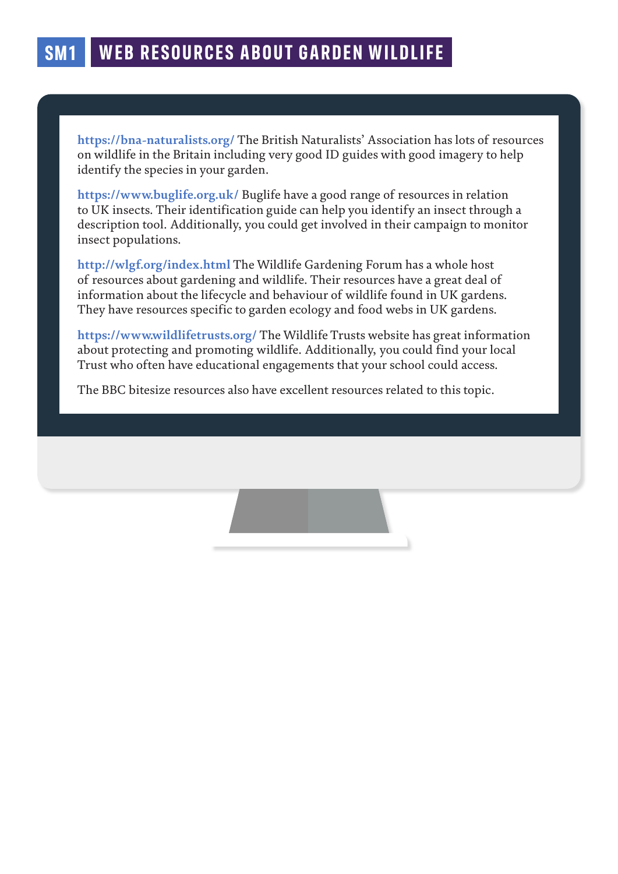**https://bna-naturalists.org/** The British Naturalists' Association has lots of resources on wildlife in the Britain including very good ID guides with good imagery to help identify the species in your garden.

**https://www.buglife.org.uk/** Buglife have a good range of resources in relation to UK insects. Their identification guide can help you identify an insect through a description tool. Additionally, you could get involved in their campaign to monitor insect populations.

**http://wlgf.org/index.html** The Wildlife Gardening Forum has a whole host of resources about gardening and wildlife. Their resources have a great deal of information about the lifecycle and behaviour of wildlife found in UK gardens. They have resources specific to garden ecology and food webs in UK gardens.

**https://www.wildlifetrusts.org/** The Wildlife Trusts website has great information about protecting and promoting wildlife. Additionally, you could find your local Trust who often have educational engagements that your school could access.

The BBC bitesize resources also have excellent resources related to this topic.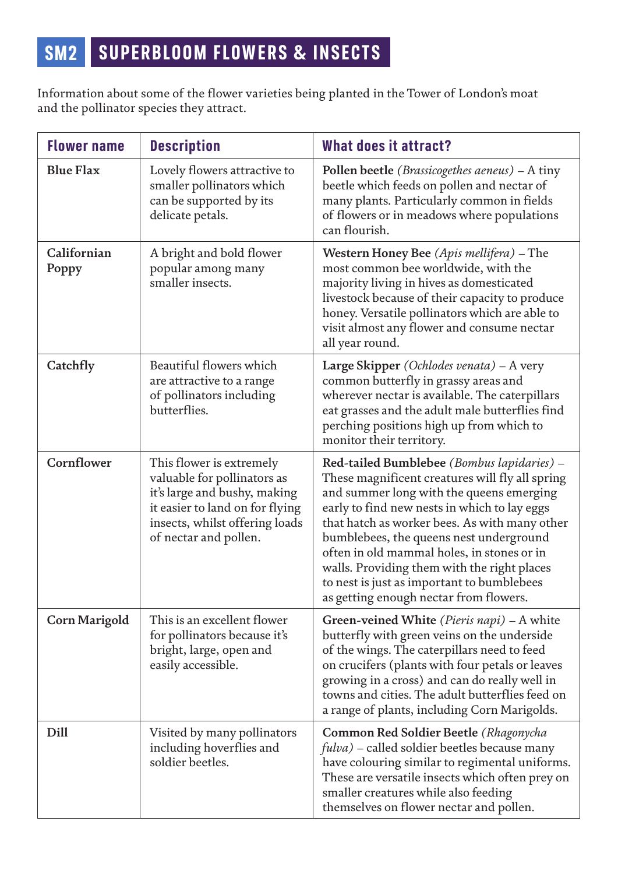Information about some of the flower varieties being planted in the Tower of London's moat and the pollinator species they attract.

| <b>Flower name</b>   | <b>Description</b>                                                                                                                                                                    | <b>What does it attract?</b>                                                                                                                                                                                                                                                                                                                                                                                                                                               |
|----------------------|---------------------------------------------------------------------------------------------------------------------------------------------------------------------------------------|----------------------------------------------------------------------------------------------------------------------------------------------------------------------------------------------------------------------------------------------------------------------------------------------------------------------------------------------------------------------------------------------------------------------------------------------------------------------------|
| <b>Blue Flax</b>     | Lovely flowers attractive to<br>smaller pollinators which<br>can be supported by its<br>delicate petals.                                                                              | Pollen beetle (Brassicogethes aeneus) – A tiny<br>beetle which feeds on pollen and nectar of<br>many plants. Particularly common in fields<br>of flowers or in meadows where populations<br>can flourish.                                                                                                                                                                                                                                                                  |
| Californian<br>Poppy | A bright and bold flower<br>popular among many<br>smaller insects.                                                                                                                    | Western Honey Bee (Apis mellifera) - The<br>most common bee worldwide, with the<br>majority living in hives as domesticated<br>livestock because of their capacity to produce<br>honey. Versatile pollinators which are able to<br>visit almost any flower and consume nectar<br>all year round.                                                                                                                                                                           |
| Catchfly             | Beautiful flowers which<br>are attractive to a range<br>of pollinators including<br>butterflies.                                                                                      | Large Skipper (Ochlodes venata) - A very<br>common butterfly in grassy areas and<br>wherever nectar is available. The caterpillars<br>eat grasses and the adult male butterflies find<br>perching positions high up from which to<br>monitor their territory.                                                                                                                                                                                                              |
| Cornflower           | This flower is extremely<br>valuable for pollinators as<br>it's large and bushy, making<br>it easier to land on for flying<br>insects, whilst offering loads<br>of nectar and pollen. | Red-tailed Bumblebee (Bombus lapidaries) -<br>These magnificent creatures will fly all spring<br>and summer long with the queens emerging<br>early to find new nests in which to lay eggs<br>that hatch as worker bees. As with many other<br>bumblebees, the queens nest underground<br>often in old mammal holes, in stones or in<br>walls. Providing them with the right places<br>to nest is just as important to bumblebees<br>as getting enough nectar from flowers. |
| <b>Corn Marigold</b> | This is an excellent flower<br>for pollinators because it's<br>bright, large, open and<br>easily accessible.                                                                          | Green-veined White (Pieris napi) – A white<br>butterfly with green veins on the underside<br>of the wings. The caterpillars need to feed<br>on crucifers (plants with four petals or leaves<br>growing in a cross) and can do really well in<br>towns and cities. The adult butterflies feed on<br>a range of plants, including Corn Marigolds.                                                                                                                            |
| Dill                 | Visited by many pollinators<br>including hoverflies and<br>soldier beetles.                                                                                                           | Common Red Soldier Beetle (Rhagonycha<br>$fulva$ ) – called soldier beetles because many<br>have colouring similar to regimental uniforms.<br>These are versatile insects which often prey on<br>smaller creatures while also feeding<br>themselves on flower nectar and pollen.                                                                                                                                                                                           |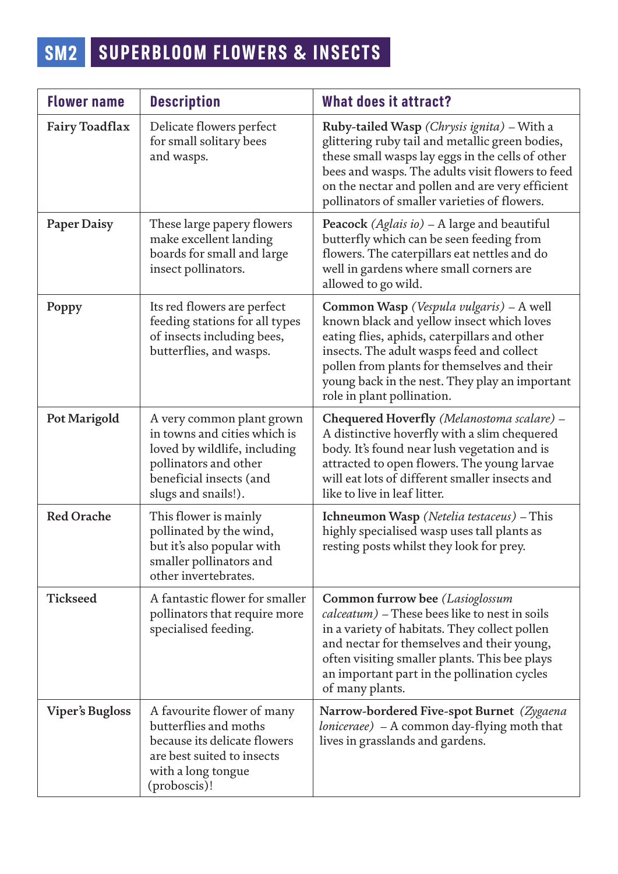# **SM2 SUPERBLOOM FLOWERS & INSECTS**

| <b>Flower name</b>     | <b>Description</b>                                                                                                                                                   | <b>What does it attract?</b>                                                                                                                                                                                                                                                                                     |
|------------------------|----------------------------------------------------------------------------------------------------------------------------------------------------------------------|------------------------------------------------------------------------------------------------------------------------------------------------------------------------------------------------------------------------------------------------------------------------------------------------------------------|
| <b>Fairy Toadflax</b>  | Delicate flowers perfect<br>for small solitary bees<br>and wasps.                                                                                                    | Ruby-tailed Wasp (Chrysis ignita) – With a<br>glittering ruby tail and metallic green bodies,<br>these small wasps lay eggs in the cells of other<br>bees and wasps. The adults visit flowers to feed<br>on the nectar and pollen and are very efficient<br>pollinators of smaller varieties of flowers.         |
| Paper Daisy            | These large papery flowers<br>make excellent landing<br>boards for small and large<br>insect pollinators.                                                            | Peacock (Aglais io) – A large and beautiful<br>butterfly which can be seen feeding from<br>flowers. The caterpillars eat nettles and do<br>well in gardens where small corners are<br>allowed to go wild.                                                                                                        |
| Poppy                  | Its red flowers are perfect<br>feeding stations for all types<br>of insects including bees,<br>butterflies, and wasps.                                               | Common Wasp (Vespula vulgaris) - A well<br>known black and yellow insect which loves<br>eating flies, aphids, caterpillars and other<br>insects. The adult wasps feed and collect<br>pollen from plants for themselves and their<br>young back in the nest. They play an important<br>role in plant pollination. |
| Pot Marigold           | A very common plant grown<br>in towns and cities which is<br>loved by wildlife, including<br>pollinators and other<br>beneficial insects (and<br>slugs and snails!). | Chequered Hoverfly (Melanostoma scalare) -<br>A distinctive hoverfly with a slim chequered<br>body. It's found near lush vegetation and is<br>attracted to open flowers. The young larvae<br>will eat lots of different smaller insects and<br>like to live in leaf litter.                                      |
| <b>Red Orache</b>      | This flower is mainly<br>pollinated by the wind,<br>but it's also popular with<br>smaller pollinators and<br>other invertebrates.                                    | Ichneumon Wasp (Netelia testaceus) - This<br>highly specialised wasp uses tall plants as<br>resting posts whilst they look for prey.                                                                                                                                                                             |
| <b>Tickseed</b>        | A fantastic flower for smaller<br>pollinators that require more<br>specialised feeding.                                                                              | Common furrow bee (Lasioglossum<br>$calcatum$ – These bees like to nest in soils<br>in a variety of habitats. They collect pollen<br>and nectar for themselves and their young,<br>often visiting smaller plants. This bee plays<br>an important part in the pollination cycles<br>of many plants.               |
| <b>Viper's Bugloss</b> | A favourite flower of many<br>butterflies and moths<br>because its delicate flowers<br>are best suited to insects<br>with a long tongue<br>(proboscis)!              | Narrow-bordered Five-spot Burnet (Zygaena<br><i>loniceraee</i> ) - A common day-flying moth that<br>lives in grasslands and gardens.                                                                                                                                                                             |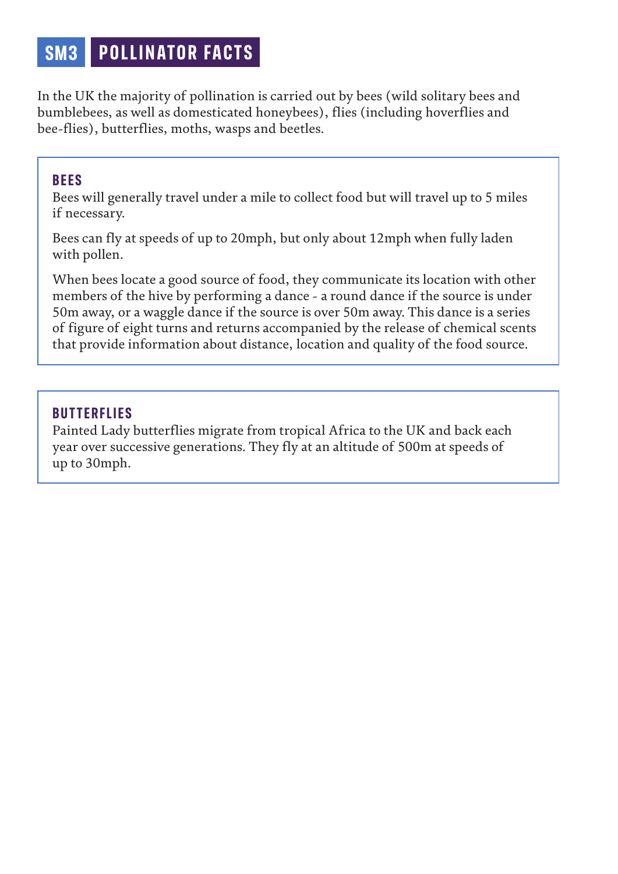# **SM3 P OLLINATOR FACTS**

In the UK the majority of pollination is carried out by bees (wild solitary bees and bumblebees, as well as domesticated honeybees), flies (including hoverflies and bee-flies), butterflies, moths, wasps and beetles.

### **BEES**

Bees will generally travel under a mile to collect food but will travel up to 5 miles if necessary.

Bees can fly at speeds of up to 20mph, but only about 12mph when fully laden with pollen.

When bees locate a good source of food, they communicate its location with other members of the hive by performing a dance - a round dance if the source is under 50m away, or a waggle dance if the source is over 50m away. This dance is a series of figure of eight turns and returns accompanied by the release of chemical scents that provide information about distance, location and quality of the food source.

## **BUTTERFLIES**

Painted Lady butterflies migrate from tropical Africa to the UK and back each year over successive generations. They fly at an altitude of 500m at speeds of up to 30mph.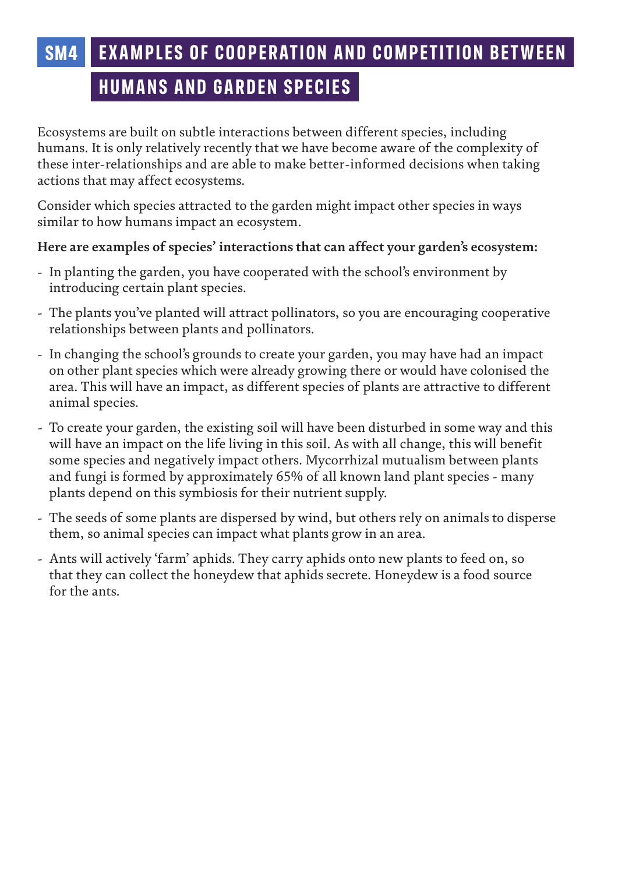# **SM4 EXAMPLES OF COOPERATION AND COMPETITION BETWEEN**

# **HUMANS AND GARDEN SPECIES**

Ecosystems are built on subtle interactions between different species, including humans. It is only relatively recently that we have become aware of the complexity of these inter-relationships and are able to make better-informed decisions when taking actions that may affect ecosystems.

Consider which species attracted to the garden might impact other species in ways similar to how humans impact an ecosystem.

### **Here are examples of species' interactions that can affect your garden's ecosystem:**

- In planting the garden, you have cooperated with the school's environment by introducing certain plant species.
- The plants you've planted will attract pollinators, so you are encouraging cooperative relationships between plants and pollinators.
- In changing the school's grounds to create your garden, you may have had an impact on other plant species which were already growing there or would have colonised the area. This will have an impact, as different species of plants are attractive to different animal species.
- To create your garden, the existing soil will have been disturbed in some way and this will have an impact on the life living in this soil. As with all change, this will benefit some species and negatively impact others. Mycorrhizal mutualism between plants and fungi is formed by approximately 65% of all known land plant species - many plants depend on this symbiosis for their nutrient supply.
- The seeds of some plants are dispersed by wind, but others rely on animals to disperse them, so animal species can impact what plants grow in an area.
- Ants will actively 'farm' aphids. They carry aphids onto new plants to feed on, so that they can collect the honeydew that aphids secrete. Honeydew is a food source for the ants.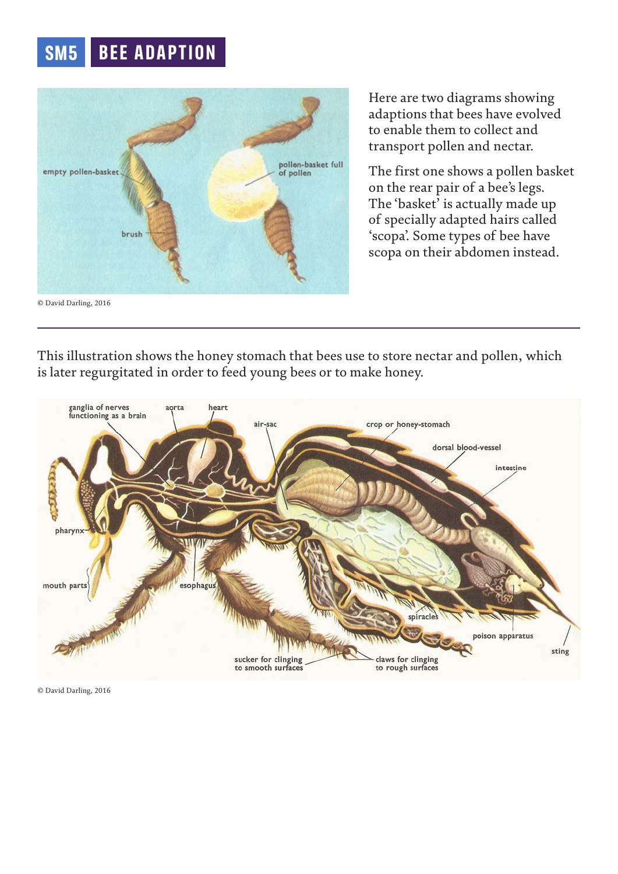# **SM5 BEE ADAPTION**

![](_page_17_Picture_1.jpeg)

Here are two diagrams showing adaptions that bees have evolved to enable them to collect and transport pollen and nectar.

The first one shows a pollen basket on the rear pair of a bee's legs. The 'basket' is actually made up of specially adapted hairs called 'scopa'. Some types of bee have scopa on their abdomen instead.

This illustration shows the honey stomach that bees use to store nectar and pollen, which is later regurgitated in order to feed young bees or to make honey.

![](_page_17_Figure_5.jpeg)

© David Darling, 2016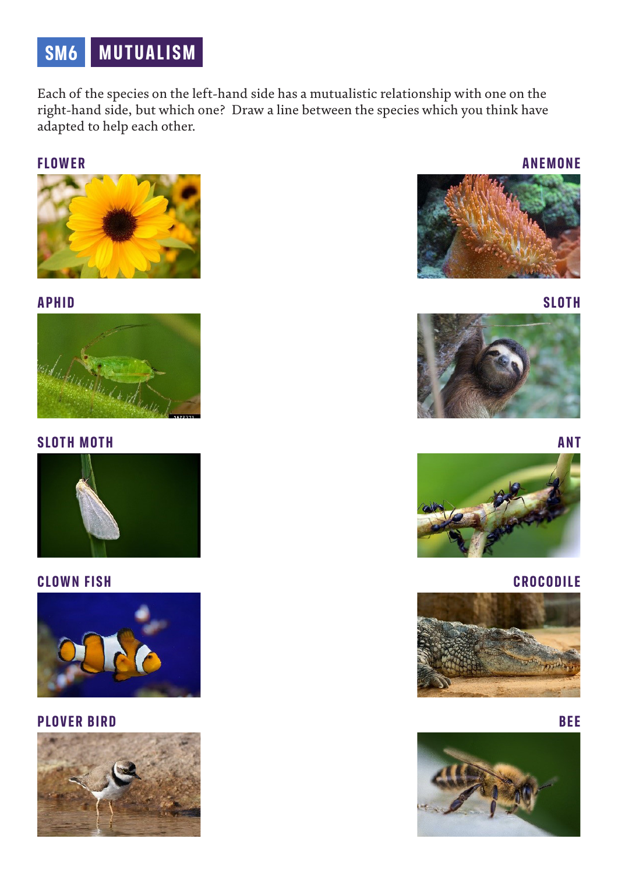# **SM6 MUTUALISM**

Each of the species on the left-hand side has a mutualistic relationship with one on the right-hand side, but which one? Draw a line between the species which you think have adapted to help each other.

### **FLOWER**

![](_page_18_Picture_3.jpeg)

### **APHID**

![](_page_18_Picture_5.jpeg)

#### **SLOTH MOTH**

![](_page_18_Picture_7.jpeg)

### **CLOWN FISH**

![](_page_18_Picture_9.jpeg)

### **PLOVER BIRD**

![](_page_18_Picture_11.jpeg)

![](_page_18_Picture_12.jpeg)

### **SLOTH**

![](_page_18_Picture_14.jpeg)

![](_page_18_Picture_15.jpeg)

![](_page_18_Picture_16.jpeg)

#### **CROCODILE**

![](_page_18_Picture_18.jpeg)

### **BEE**

![](_page_18_Picture_20.jpeg)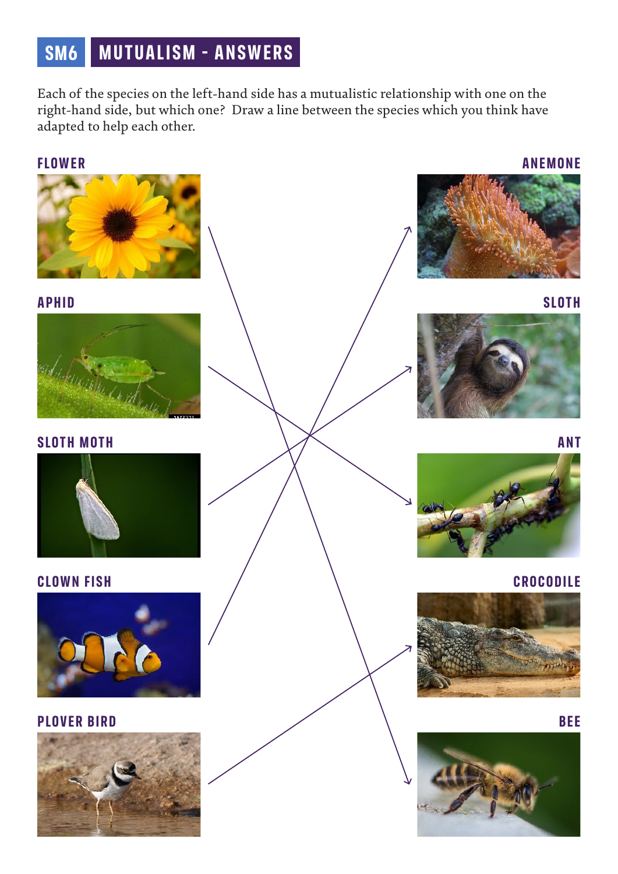# **SM6 MUTUALISM - ANSWERS**

Each of the species on the left-hand side has a mutualistic relationship with one on the right-hand side, but which one? Draw a line between the species which you think have adapted to help each other.

### **FLOWER**

![](_page_19_Picture_3.jpeg)

### **APHID**

![](_page_19_Picture_5.jpeg)

**SLOTH MOTH**

![](_page_19_Picture_7.jpeg)

### **CLOWN FISH**

![](_page_19_Picture_9.jpeg)

### **PLOVER BIRD**

![](_page_19_Picture_11.jpeg)

#### **ANEMONE**

![](_page_19_Picture_13.jpeg)

![](_page_19_Picture_14.jpeg)

![](_page_19_Picture_15.jpeg)

**ANT**

![](_page_19_Picture_17.jpeg)

#### **CROCODILE**

![](_page_19_Picture_19.jpeg)

![](_page_19_Picture_20.jpeg)